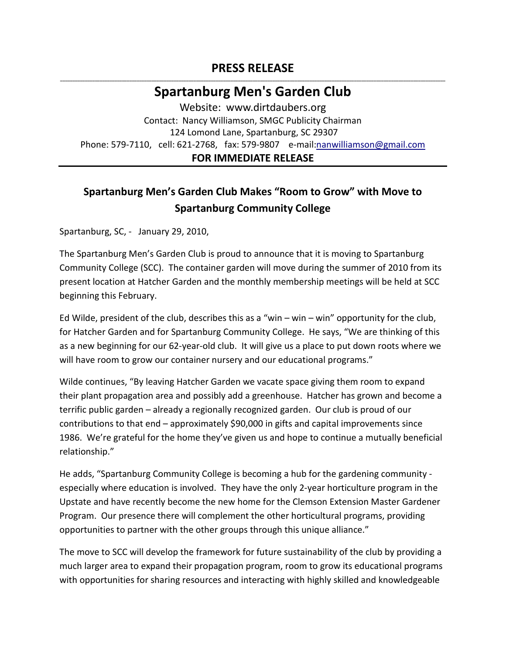## **PRESS RELEASE \_\_\_\_\_\_\_\_\_\_\_\_\_\_\_\_\_\_\_\_\_\_\_\_\_\_\_\_\_\_\_\_\_\_\_\_\_\_\_\_\_\_\_\_\_\_\_\_\_\_\_\_\_\_\_\_\_\_\_\_\_\_\_\_\_\_\_\_\_\_\_\_\_\_\_\_\_\_\_\_\_\_\_\_\_\_\_\_\_\_\_\_\_\_\_\_\_\_\_\_\_\_\_\_\_\_\_\_\_\_\_\_\_\_\_\_\_\_\_\_\_\_\_\_\_\_\_\_\_\_\_\_\_\_\_\_\_\_\_\_\_\_\_\_\_\_\_\_\_\_\_\_\_\_\_\_**

## **Spartanburg Men's Garden Club**

Website: www.dirtdaubers.org Contact: Nancy Williamson, SMGC Publicity Chairman 124 Lomond Lane, Spartanburg, SC 29307 Phone: 579-7110, cell: 621-2768, fax: 579-9807 e-mail[:nanwilliamson@gmail.com](mailto:nanwilliamson@gmail.com)

## **FOR IMMEDIATE RELEASE**

## **Spartanburg Men's Garden Club Makes "Room to Grow" with Move to Spartanburg Community College**

Spartanburg, SC, - January 29, 2010,

The Spartanburg Men's Garden Club is proud to announce that it is moving to Spartanburg Community College (SCC). The container garden will move during the summer of 2010 from its present location at Hatcher Garden and the monthly membership meetings will be held at SCC beginning this February.

Ed Wilde, president of the club, describes this as a "win – win – win" opportunity for the club, for Hatcher Garden and for Spartanburg Community College. He says, "We are thinking of this as a new beginning for our 62-year-old club. It will give us a place to put down roots where we will have room to grow our container nursery and our educational programs."

Wilde continues, "By leaving Hatcher Garden we vacate space giving them room to expand their plant propagation area and possibly add a greenhouse. Hatcher has grown and become a terrific public garden – already a regionally recognized garden. Our club is proud of our contributions to that end – approximately \$90,000 in gifts and capital improvements since 1986. We're grateful for the home they've given us and hope to continue a mutually beneficial relationship."

He adds, "Spartanburg Community College is becoming a hub for the gardening community especially where education is involved. They have the only 2-year horticulture program in the Upstate and have recently become the new home for the Clemson Extension Master Gardener Program. Our presence there will complement the other horticultural programs, providing opportunities to partner with the other groups through this unique alliance."

The move to SCC will develop the framework for future sustainability of the club by providing a much larger area to expand their propagation program, room to grow its educational programs with opportunities for sharing resources and interacting with highly skilled and knowledgeable